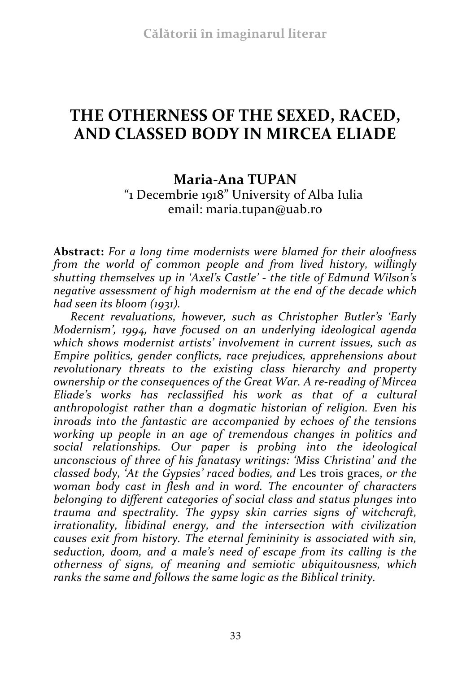# **THE OTHERNESS OF THE SEXED, RACED, AND CLASSED BODY IN MIRCEA ELIADE**

### **Maria-Ana TUPAN**

"1 Decembrie 1918" University of Alba Iulia email: maria.tupan@uab.ro

**Abstract:** *For a long time modernists were blamed for their aloofness from the world of common people and from lived history, willingly shutting themselves up in 'Axel's Castle' - the title of Edmund Wilson's negative assessment of high modernism at the end of the decade which had seen its bloom (1931).* 

*Recent revaluations, however, such as Christopher Butler's 'Early Modernism', 1994, have focused on an underlying ideological agenda which shows modernist artists' involvement in current issues, such as Empire politics, gender conflicts, race prejudices, apprehensions about revolutionary threats to the existing class hierarchy and property ownership or the consequences of the Great War. A re-reading of Mircea Eliade's works has reclassified his work as that of a cultural anthropologist rather than a dogmatic historian of religion. Even his inroads into the fantastic are accompanied by echoes of the tensions working up people in an age of tremendous changes in politics and social relationships. Our paper is probing into the ideological unconscious of three of his fanatasy writings: 'Miss Christina' and the classed body, 'At the Gypsies' raced bodies, and* Les trois graces, *or the woman body cast in flesh and in word. The encounter of characters belonging to different categories of social class and status plunges into trauma and spectrality. The gypsy skin carries signs of witchcraft, irrationality, libidinal energy, and the intersection with civilization causes exit from history. The eternal femininity is associated with sin, seduction, doom, and a male's need of escape from its calling is the otherness of signs, of meaning and semiotic ubiquitousness, which ranks the same and follows the same logic as the Biblical trinity.*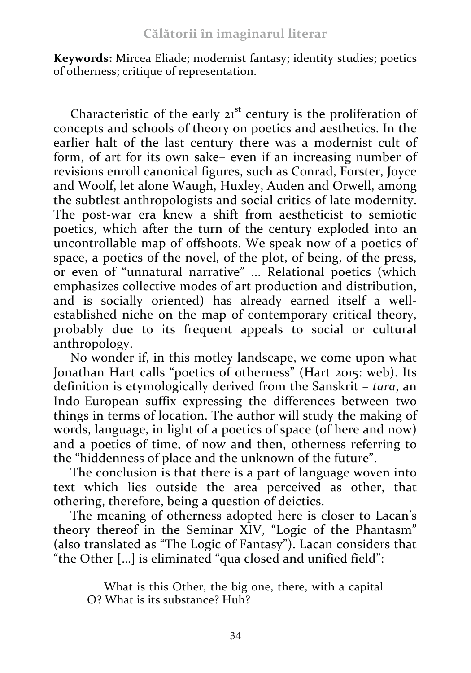**Keywords:** Mircea Eliade; modernist fantasy; identity studies; poetics of otherness; critique of representation.

Characteristic of the early  $21<sup>st</sup>$  century is the proliferation of concepts and schools of theory on poetics and aesthetics. In the earlier halt of the last century there was a modernist cult of form, of art for its own sake– even if an increasing number of revisions enroll canonical figures, such as Conrad, Forster, Joyce and Woolf, let alone Waugh, Huxley, Auden and Orwell, among the subtlest anthropologists and social critics of late modernity. The post-war era knew a shift from aestheticist to semiotic poetics, which after the turn of the century exploded into an uncontrollable map of offshoots. We speak now of a poetics of space, a poetics of the novel, of the plot, of being, of the press, or even of "unnatural narrative" ... Relational poetics (which emphasizes collective modes of art production and distribution, and is socially oriented) has already earned itself a wellestablished niche on the map of contemporary critical theory, probably due to its frequent appeals to social or cultural anthropology.

No wonder if, in this motley landscape, we come upon what Jonathan Hart calls "poetics of otherness" (Hart 2015: web). Its definition is etymologically derived from the Sanskrit *– tara*, an Indo-European suffix expressing the differences between two things in terms of location. The author will study the making of words, language, in light of a poetics of space (of here and now) and a poetics of time, of now and then, otherness referring to the "hiddenness of place and the unknown of the future".

The conclusion is that there is a part of language woven into text which lies outside the area perceived as other, that othering, therefore, being a question of deictics.

The meaning of otherness adopted here is closer to Lacan's theory thereof in the Seminar XIV, "Logic of the Phantasm" (also translated as "The Logic of Fantasy"). Lacan considers that "the Other […] is eliminated "qua closed and unified field":

What is this Other, the big one, there, with a capital O? What is its substance? Huh?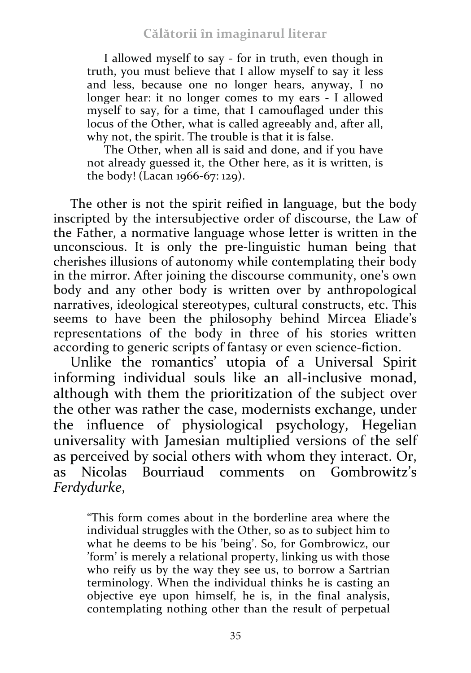I allowed myself to say - for in truth, even though in truth, you must believe that I allow myself to say it less and less, because one no longer hears, anyway, I no longer hear: it no longer comes to my ears - I allowed myself to say, for a time, that I camouflaged under this locus of the Other, what is called agreeably and, after all, why not, the spirit. The trouble is that it is false.

The Other, when all is said and done, and if you have not already guessed it, the Other here, as it is written, is the body! (Lacan 1966-67: 129).

The other is not the spirit reified in language, but the body inscripted by the intersubjective order of discourse, the Law of the Father, a normative language whose letter is written in the unconscious. It is only the pre-linguistic human being that cherishes illusions of autonomy while contemplating their body in the mirror. After joining the discourse community, one's own body and any other body is written over by anthropological narratives, ideological stereotypes, cultural constructs, etc. This seems to have been the philosophy behind Mircea Eliade's representations of the body in three of his stories written according to generic scripts of fantasy or even science-fiction.

Unlike the romantics' utopia of a Universal Spirit informing individual souls like an all-inclusive monad, although with them the prioritization of the subject over the other was rather the case, modernists exchange, under the influence of physiological psychology, Hegelian universality with Jamesian multiplied versions of the self as perceived by social others with whom they interact. Or,<br>as Nicolas Bourriaud comments on Gombrowitz's as Nicolas Bourriaud comments *Ferdydurke*,

"This form comes about in the borderline area where the individual struggles with the Other, so as to subject him to what he deems to be his 'being'. So, for Gombrowicz, our 'form' is merely a relational property, linking us with those who reify us by the way they see us, to borrow a Sartrian terminology. When the individual thinks he is casting an objective eye upon himself, he is, in the final analysis, contemplating nothing other than the result of perpetual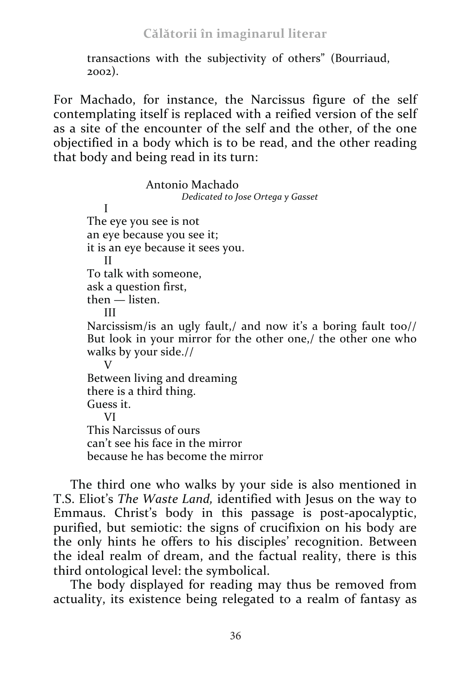transactions with the subjectivity of others" (Bourriaud, 2002).

For Machado, for instance, the Narcissus figure of the self contemplating itself is replaced with a reified version of the self as a site of the encounter of the self and the other, of the one objectified in a body which is to be read, and the other reading that body and being read in its turn:

Antonio Machado *Dedicated to Jose Ortega y Gasset* I The eye you see is not an eye because you see it; it is an eye because it sees you. II To talk with someone, ask a question first, then — listen. III Narcissism/is an ugly fault,/ and now it's a boring fault too// But look in your mirror for the other one,/ the other one who walks by your side.//  $V$ Between living and dreaming there is a third thing. Guess it. VI This Narcissus of ours can't see his face in the mirror because he has become the mirror

The third one who walks by your side is also mentioned in T.S. Eliot's *The Waste Land,* identified with Jesus on the way to Emmaus. Christ's body in this passage is post-apocalyptic, purified, but semiotic: the signs of crucifixion on his body are the only hints he offers to his disciples' recognition. Between the ideal realm of dream, and the factual reality, there is this third ontological level: the symbolical.

The body displayed for reading may thus be removed from actuality, its existence being relegated to a realm of fantasy as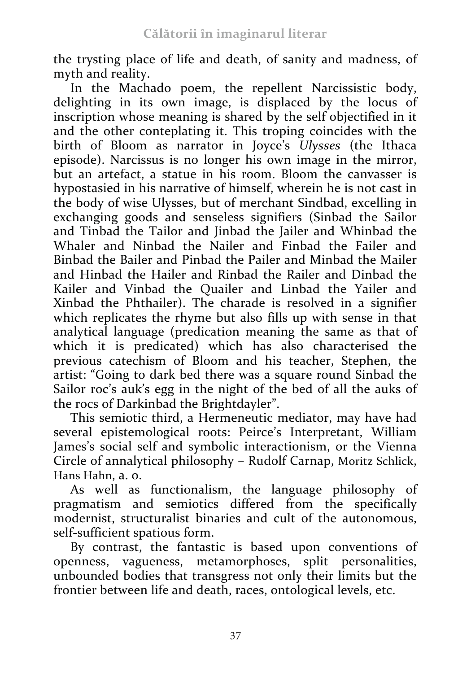the trysting place of life and death, of sanity and madness, of myth and reality.

In the Machado poem, the repellent Narcissistic body, delighting in its own image, is displaced by the locus of inscription whose meaning is shared by the self objectified in it and the other conteplating it. This troping coincides with the birth of Bloom as narrator in Joyce's *Ulysses* (the Ithaca episode). Narcissus is no longer his own image in the mirror, but an artefact, a statue in his room. Bloom the canvasser is hypostasied in his narrative of himself, wherein he is not cast in the body of wise Ulysses, but of merchant Sindbad, excelling in exchanging goods and senseless signifiers (Sinbad the Sailor and Tinbad the Tailor and Jinbad the Jailer and Whinbad the Whaler and Ninbad the Nailer and Finbad the Failer and Binbad the Bailer and Pinbad the Pailer and Minbad the Mailer and Hinbad the Hailer and Rinbad the Railer and Dinbad the Kailer and Vinbad the Quailer and Linbad the Yailer and Xinbad the Phthailer). The charade is resolved in a signifier which replicates the rhyme but also fills up with sense in that analytical language (predication meaning the same as that of which it is predicated) which has also characterised the previous catechism of Bloom and his teacher, Stephen, the artist: "Going to dark bed there was a square round Sinbad the Sailor roc's auk's egg in the night of the bed of all the auks of the rocs of Darkinbad the Brightdayler".

This semiotic third, a Hermeneutic mediator, may have had several epistemological roots: Peirce's Interpretant, William James's social self and symbolic interactionism, or the Vienna Circle of annalytical philosophy – Rudolf Carnap, Moritz Schlick, Hans Hahn, a. o.

As well as functionalism, the language philosophy of pragmatism and semiotics differed from the specifically modernist, structuralist binaries and cult of the autonomous, self-sufficient spatious form.

By contrast, the fantastic is based upon conventions of openness, vagueness, metamorphoses, split personalities, unbounded bodies that transgress not only their limits but the frontier between life and death, races, ontological levels, etc.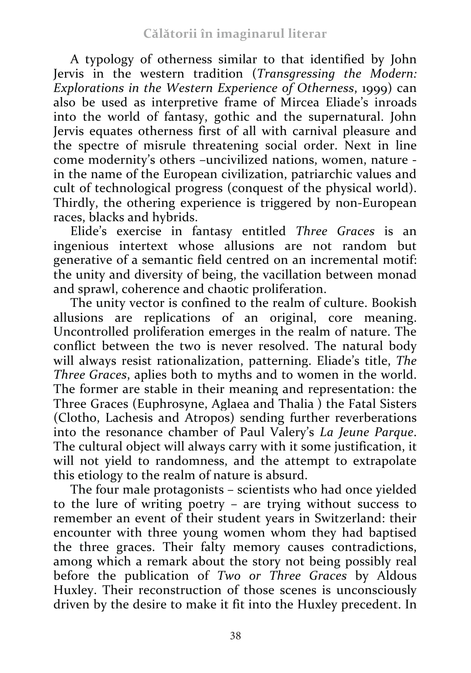A typology of otherness similar to that identified by John Jervis in the western tradition (*Transgressing the Modern: Explorations in the Western Experience of Otherness*, 1999) can also be used as interpretive frame of Mircea Eliade's inroads into the world of fantasy, gothic and the supernatural. John Jervis equates otherness first of all with carnival pleasure and the spectre of misrule threatening social order. Next in line come modernity's others –uncivilized nations, women, nature in the name of the European civilization, patriarchic values and cult of technological progress (conquest of the physical world). Thirdly, the othering experience is triggered by non-European races, blacks and hybrids.

Elide's exercise in fantasy entitled *Three Graces* is an ingenious intertext whose allusions are not random but generative of a semantic field centred on an incremental motif: the unity and diversity of being, the vacillation between monad and sprawl, coherence and chaotic proliferation.

The unity vector is confined to the realm of culture. Bookish allusions are replications of an original, core meaning. Uncontrolled proliferation emerges in the realm of nature. The conflict between the two is never resolved. The natural body will always resist rationalization, patterning. Eliade's title, *The Three Graces*, aplies both to myths and to women in the world. The former are stable in their meaning and representation: the Three Graces (Euphrosyne, Aglaea and Thalia ) the Fatal Sisters (Clotho, Lachesis and Atropos) sending further reverberations into the resonance chamber of Paul Valery's *La Jeune Parque*. The cultural object will always carry with it some justification, it will not yield to randomness, and the attempt to extrapolate this etiology to the realm of nature is absurd.

The four male protagonists – scientists who had once yielded to the lure of writing poetry – are trying without success to remember an event of their student years in Switzerland: their encounter with three young women whom they had baptised the three graces. Their falty memory causes contradictions, among which a remark about the story not being possibly real before the publication of *Two or Three Graces* by Aldous Huxley. Their reconstruction of those scenes is unconsciously driven by the desire to make it fit into the Huxley precedent. In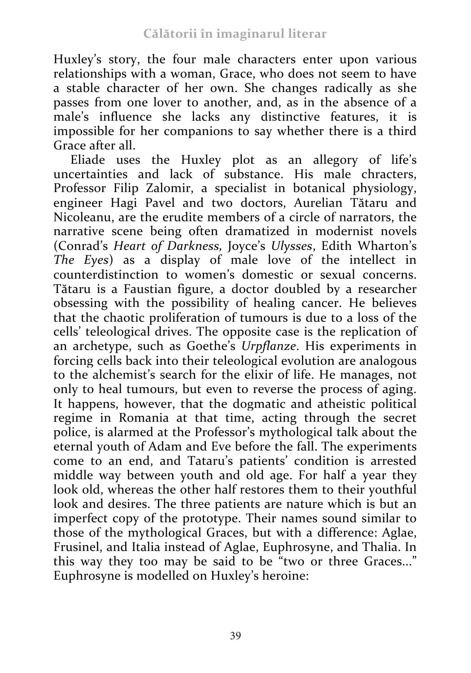Huxley's story, the four male characters enter upon various relationships with a woman, Grace, who does not seem to have a stable character of her own. She changes radically as she passes from one lover to another, and, as in the absence of a male's influence she lacks any distinctive features, it is impossible for her companions to say whether there is a third Grace after all.

Eliade uses the Huxley plot as an allegory of life's uncertainties and lack of substance. His male chracters, Professor Filip Zalomir, a specialist in botanical physiology, engineer Hagi Pavel and two doctors, Aurelian Tătaru and Nicoleanu, are the erudite members of a circle of narrators, the narrative scene being often dramatized in modernist novels (Conrad's *Heart of Darkness,* Joyce's *Ulysses*, Edith Wharton's *The Eyes*) as a display of male love of the intellect in counterdistinction to women's domestic or sexual concerns. Tătaru is a Faustian figure, a doctor doubled by a researcher obsessing with the possibility of healing cancer. He believes that the chaotic proliferation of tumours is due to a loss of the cells' teleological drives. The opposite case is the replication of an archetype, such as Goethe's *Urpflanze*. His experiments in forcing cells back into their teleological evolution are analogous to the alchemist's search for the elixir of life. He manages, not only to heal tumours, but even to reverse the process of aging. It happens, however, that the dogmatic and atheistic political regime in Romania at that time, acting through the secret police, is alarmed at the Professor's mythological talk about the eternal youth of Adam and Eve before the fall. The experiments come to an end, and Tataru's patients' condition is arrested middle way between youth and old age. For half a year they look old, whereas the other half restores them to their youthful look and desires. The three patients are nature which is but an imperfect copy of the prototype. Their names sound similar to those of the mythological Graces, but with a difference: Aglae, Frusinel, and Italia instead of Aglae, Euphrosyne, and Thalia. In this way they too may be said to be "two or three Graces..." Euphrosyne is modelled on Huxley's heroine: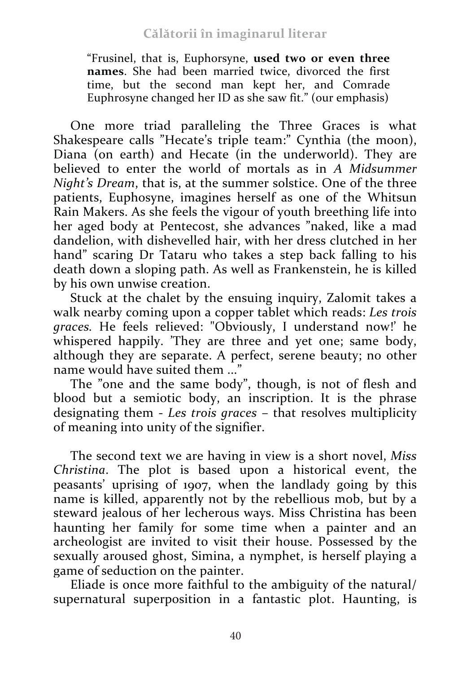"Frusinel, that is, Euphorsyne, **used two or even three names**. She had been married twice, divorced the first time, but the second man kept her, and Comrade Euphrosyne changed her ID as she saw fit." (our emphasis)

One more triad paralleling the Three Graces is what Shakespeare calls "Hecate's triple team:" Cynthia (the moon), Diana (on earth) and Hecate (in the underworld). They are believed to enter the world of mortals as in *A Midsummer Night's Dream*, that is, at the summer solstice. One of the three patients, Euphosyne, imagines herself as one of the Whitsun Rain Makers. As she feels the vigour of youth breething life into her aged body at Pentecost, she advances "naked, like a mad dandelion, with dishevelled hair, with her dress clutched in her hand" scaring Dr Tataru who takes a step back falling to his death down a sloping path. As well as Frankenstein, he is killed by his own unwise creation.

Stuck at the chalet by the ensuing inquiry, Zalomit takes a walk nearby coming upon a copper tablet which reads: *Les trois graces.* He feels relieved: "Obviously, I understand now!' he whispered happily. 'They are three and yet one; same body, although they are separate. A perfect, serene beauty; no other name would have suited them ...

The "one and the same body", though, is not of flesh and blood but a semiotic body, an inscription. It is the phrase designating them - *Les trois graces* – that resolves multiplicity of meaning into unity of the signifier.

The second text we are having in view is a short novel, *Miss Christina*. The plot is based upon a historical event, the peasants' uprising of 1907, when the landlady going by this name is killed, apparently not by the rebellious mob, but by a steward jealous of her lecherous ways. Miss Christina has been haunting her family for some time when a painter and an archeologist are invited to visit their house. Possessed by the sexually aroused ghost, Simina, a nymphet, is herself playing a game of seduction on the painter.

Eliade is once more faithful to the ambiguity of the natural/ supernatural superposition in a fantastic plot. Haunting, is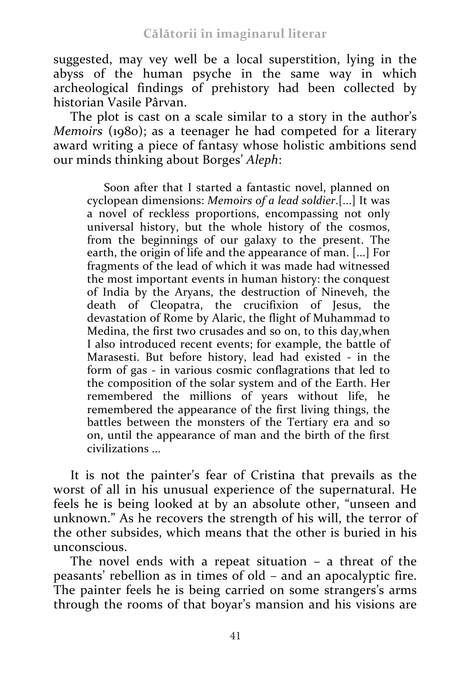suggested, may vey well be a local superstition, lying in the abyss of the human psyche in the same way in which archeological findings of prehistory had been collected by historian Vasile Pârvan.

The plot is cast on a scale similar to a story in the author's *Memoirs* (1980); as a teenager he had competed for a literary award writing a piece of fantasy whose holistic ambitions send our minds thinking about Borges' *Aleph*:

Soon after that I started a fantastic novel, planned on cyclopean dimensions: *Memoirs of a lead soldier*.[...] It was a novel of reckless proportions, encompassing not only universal history, but the whole history of the cosmos, from the beginnings of our galaxy to the present. The earth, the origin of life and the appearance of man. [...] For fragments of the lead of which it was made had witnessed the most important events in human history: the conquest of India by the Aryans, the destruction of Nineveh, the death of Cleopatra, the crucifixion of Jesus, the devastation of Rome by Alaric, the flight of Muhammad to Medina, the first two crusades and so on, to this day, when I also introduced recent events; for example, the battle of Marasesti. But before history, lead had existed - in the form of gas - in various cosmic conflagrations that led to the composition of the solar system and of the Earth. Her remembered the millions of years without life, he remembered the appearance of the first living things, the battles between the monsters of the Tertiary era and so on, until the appearance of man and the birth of the first civilizations ...

It is not the painter's fear of Cristina that prevails as the worst of all in his unusual experience of the supernatural. He feels he is being looked at by an absolute other, "unseen and unknown." As he recovers the strength of his will, the terror of the other subsides, which means that the other is buried in his unconscious.

The novel ends with a repeat situation – a threat of the peasants' rebellion as in times of old – and an apocalyptic fire. The painter feels he is being carried on some strangers's arms through the rooms of that boyar's mansion and his visions are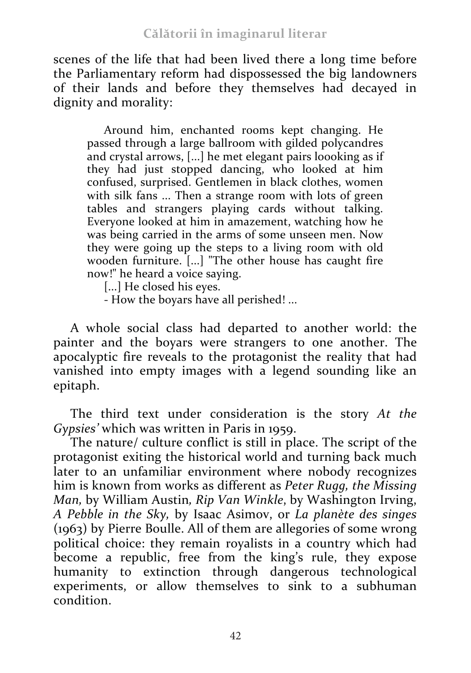scenes of the life that had been lived there a long time before the Parliamentary reform had dispossessed the big landowners of their lands and before they themselves had decayed in dignity and morality:

Around him, enchanted rooms kept changing. He passed through a large ballroom with gilded polycandres and crystal arrows, [...] he met elegant pairs loooking as if they had just stopped dancing, who looked at him confused, surprised. Gentlemen in black clothes, women with silk fans ... Then a strange room with lots of green tables and strangers playing cards without talking. Everyone looked at him in amazement, watching how he was being carried in the arms of some unseen men. Now they were going up the steps to a living room with old wooden furniture. [...] "The other house has caught fire now!" he heard a voice saying.

[...] He closed his eyes.

- How the boyars have all perished! ...

A whole social class had departed to another world: the painter and the boyars were strangers to one another. The apocalyptic fire reveals to the protagonist the reality that had vanished into empty images with a legend sounding like an epitaph.

The third text under consideration is the story *At the Gypsies'* which was written in Paris in 1959.

The nature/ culture conflict is still in place. The script of the protagonist exiting the historical world and turning back much later to an unfamiliar environment where nobody recognizes him is known from works as different as *Peter Rugg, the Missing Man,* by William Austin*, Rip Van Winkle*, by Washington Irving, *A Pebble in the Sky,* by Isaac Asimov, or *La planète des singes* (1963) by Pierre Boulle. All of them are allegories of some wrong political choice: they remain royalists in a country which had become a republic, free from the king's rule, they expose humanity to extinction through dangerous technological experiments, or allow themselves to sink to a subhuman condition.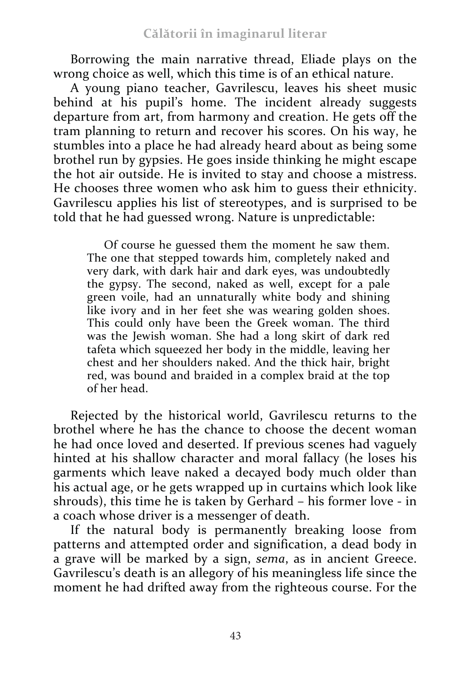Borrowing the main narrative thread, Eliade plays on the wrong choice as well, which this time is of an ethical nature.

A young piano teacher, Gavrilescu, leaves his sheet music behind at his pupil's home. The incident already suggests departure from art, from harmony and creation. He gets off the tram planning to return and recover his scores. On his way, he stumbles into a place he had already heard about as being some brothel run by gypsies. He goes inside thinking he might escape the hot air outside. He is invited to stay and choose a mistress. He chooses three women who ask him to guess their ethnicity. Gavrilescu applies his list of stereotypes, and is surprised to be told that he had guessed wrong. Nature is unpredictable:

Of course he guessed them the moment he saw them. The one that stepped towards him, completely naked and very dark, with dark hair and dark eyes, was undoubtedly the gypsy. The second, naked as well, except for a pale green voile, had an unnaturally white body and shining like ivory and in her feet she was wearing golden shoes. This could only have been the Greek woman. The third was the Jewish woman. She had a long skirt of dark red tafeta which squeezed her body in the middle, leaving her chest and her shoulders naked. And the thick hair, bright red, was bound and braided in a complex braid at the top of her head.

Rejected by the historical world, Gavrilescu returns to the brothel where he has the chance to choose the decent woman he had once loved and deserted. If previous scenes had vaguely hinted at his shallow character and moral fallacy (he loses his garments which leave naked a decayed body much older than his actual age, or he gets wrapped up in curtains which look like shrouds), this time he is taken by Gerhard – his former love - in a coach whose driver is a messenger of death.

If the natural body is permanently breaking loose from patterns and attempted order and signification, a dead body in a grave will be marked by a sign, *sema*, as in ancient Greece. Gavrilescu's death is an allegory of his meaningless life since the moment he had drifted away from the righteous course. For the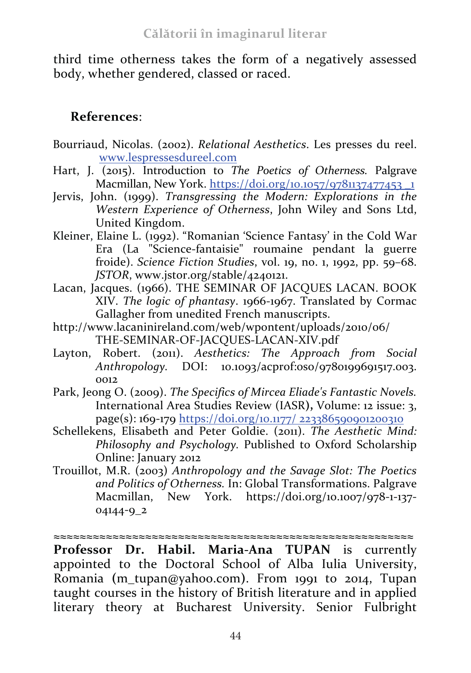third time otherness takes the form of a negatively assessed body, whether gendered, classed or raced.

## **References**:

- Bourriaud, Nicolas. (2002). *Relational Aesthetics*. Les presses du reel. www.lespressesdureel.com
- Hart, J. (2015). Introduction to *The Poetics of Otherness.* Palgrave Macmillan, New York. https://doi.org/10.1057/9781137477453 \_1
- Jervis, John. (1999). *Transgressing the Modern: Explorations in the Western Experience of Otherness*, John Wiley and Sons Ltd, United Kingdom.
- Kleiner, Elaine L. (1992). "Romanian 'Science Fantasy' in the Cold War Era (La "Science-fantaisie" roumaine pendant la guerre froide). *Science Fiction Studies*, vol. 19, no. 1, 1992, pp. 59–68. *JSTOR*, www.jstor.org/stable/4240121.
- Lacan, Jacques. (1966). THE SEMINAR OF JACQUES LACAN. BOOK XIV. *The logic of phantasy*. 1966-1967. Translated by Cormac Gallagher from unedited French manuscripts.
- http://www.lacaninireland.com/web/wpontent/uploads/2010/06/ THE-SEMINAR-OF-JACQUES-LACAN-XIV.pdf
- Layton, Robert. (2011). *Aesthetics: The Approach from Social Anthropology.* DOI: 10.1093/acprof:oso/9780199691517.003. 0012
- Park, Jeong O. (2009). *The Specifics of Mircea Eliade's Fantastic Novels.*  International Area Studies Review (IASR**),** Volume: 12 issue: 3, page(s): 169-179 https://doi.org/10.1177/ 223386590901200310
- Schellekens, Elisabeth and Peter Goldie. (2011). *The Aesthetic Mind: Philosophy and Psychology.* Published to Oxford Scholarship Online: January 2012
- Trouillot, M.R. (2003) *Anthropology and the Savage Slot: The Poetics and Politics of Otherness.* In: Global Transformations. Palgrave Macmillan, New York. https://doi.org/10.1007/978-1-137- 04144-9\_2

**≈≈≈≈≈≈≈≈≈≈≈≈≈≈≈≈≈≈≈≈≈≈≈≈≈≈≈≈≈≈≈≈≈≈≈≈≈≈≈≈≈≈≈≈≈≈≈≈≈≈≈≈≈≈≈**

**Professor Dr. Habil. Maria-Ana TUPAN** is currently appointed to the Doctoral School of Alba Iulia University, Romania **(**m\_tupan@yahoo.com**)**. From 1991 to 2014, Tupan taught courses in the history of British literature and in applied literary theory at Bucharest University. Senior Fulbright